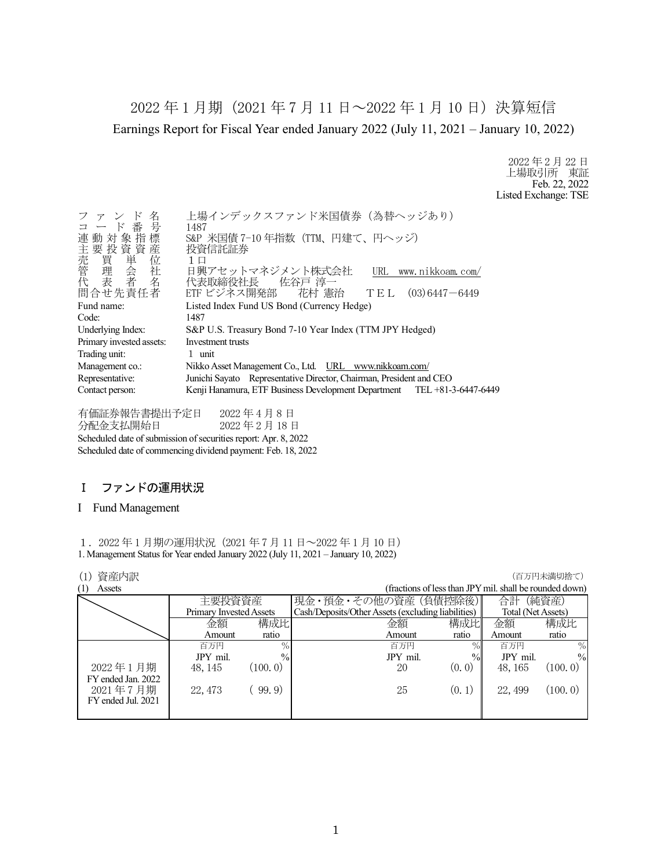2022 年 1 月期(2021 年 7 月 11 日~2022 年 1 月 10 日)決算短信 Earnings Report for Fiscal Year ended January 2022 (July 11, 2021 – January 10, 2022)

> 2022 年 2 月 22 日 上場取引所 東証 Feb. 22, 2022 Listed Exchange: TSE

| 名<br>$\mathbb{F}$<br>ファン<br>コード番号<br>連動対象指標<br>)<br>要買理表<br>要買理表<br>「我買理表」             | 上場インデックスファンド米国債券 (為替ヘッジあり)<br>1487<br>S&P 米国債 7-10 年指数 (TTM、円建て、円ヘッジ)<br>投資信託証券<br>1 □<br>日興アセットマネジメント株式会社<br>URL www.nikkoam.com/ |
|----------------------------------------------------------------------------------------|------------------------------------------------------------------------------------------------------------------------------------|
|                                                                                        | 代表取締役社長   佐谷戸 淳一                                                                                                                   |
| 問合せ先責任者                                                                                | ETF ビジネス開発部  花村 憲治<br>$TE L (03) 6447 - 6449$                                                                                      |
| Fund name:                                                                             | Listed Index Fund US Bond (Currency Hedge)                                                                                         |
| Code:                                                                                  | 1487                                                                                                                               |
| Underlying Index:                                                                      | S&P U.S. Treasury Bond 7-10 Year Index (TTM JPY Hedged)                                                                            |
| Primary invested assets:                                                               | Investment trusts                                                                                                                  |
| Trading unit:                                                                          | 1 unit                                                                                                                             |
| Management co.:                                                                        | Nikko Asset Management Co., Ltd. URL www.nikkoam.com/                                                                              |
| Junichi Sayato Representative Director, Chairman, President and CEO<br>Representative: |                                                                                                                                    |
| Contact person:                                                                        | Kenji Hanamura, ETF Business Development Department TEL +81-3-6447-6449                                                            |

有価証券報告書提出予定日 2022 年 4 月 8 日 分配金支払開始日 2022 年 2 月 18 日 Scheduled date of submission of securities report: Apr. 8, 2022 Scheduled date of commencing dividend payment: Feb. 18, 2022

# Ⅰ ファンドの運用状況

### I Fund Management

1.2022 年 1 月期の運用状況(2021 年 7 月 11 日~2022 年 1 月 10 日) 1. Management Status for Year ended January 2022 (July 11, 2021 – January 10, 2022)

## (1) 資産内訳 (百万円未満切捨て)

| \ + /<br>-537-581-9HV |                         |               |                                                    |        |                                                         | ヽ — ノノ + ノ/ ヽ !!~! ノノ」 — ヽ ノ |
|-----------------------|-------------------------|---------------|----------------------------------------------------|--------|---------------------------------------------------------|------------------------------|
| (1)<br>Assets         |                         |               |                                                    |        | (fractions of less than JPY mil. shall be rounded down) |                              |
|                       | 主要投資資産                  |               | 現金・預金・その他の資産(負債控除後)                                |        | 合計                                                      | (純資産)                        |
|                       | Primary Invested Assets |               | Cash/Deposits/Other Assets (excluding liabilities) |        | Total (Net Assets)                                      |                              |
|                       | 金額                      | 構成比           | 金額                                                 | 構成比    | 金額                                                      | 構成比                          |
|                       | Amount                  | ratio         | Amount                                             | ratio  | Amount                                                  | ratio                        |
|                       | 百万円                     | $\%$          | 百万円                                                | $\%$   | 百万円                                                     | $\%$                         |
|                       | JPY mil.                | $\frac{0}{0}$ | JPY mil.                                           | $\%$   | JPY mil.                                                | $\frac{0}{0}$                |
| 2022年1月期              | 48, 145                 | (100, 0)      | 20                                                 | (0, 0) | 48, 165                                                 | (100, 0)                     |
| FY ended Jan. 2022    |                         |               |                                                    |        |                                                         |                              |
| 2021年7月期              | 22, 473                 | 99.9)         | 25                                                 | (0, 1) | 22, 499                                                 | (100.0)                      |
| FY ended Jul. 2021    |                         |               |                                                    |        |                                                         |                              |
|                       |                         |               |                                                    |        |                                                         |                              |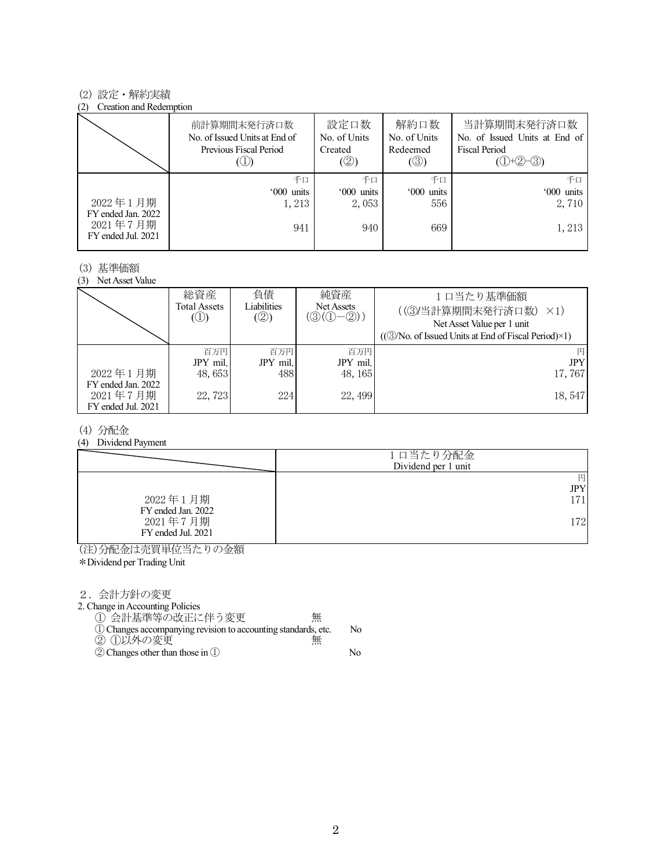### (2) 設定・解約実績

#### (2) Creation and Redemption

|                                                      | 前計算期間末発行済口数<br>No. of Issued Units at End of<br>Previous Fiscal Period | 設定口数<br>No. of Units<br>Created<br>(②) | 解約口数<br>No. of Units<br>Redeemed<br>$(\circledS)$ | 当計算期間末発行済口数<br>No. of Issued Units at End of<br>Fiscal Period<br>$(①+②-③)$ |
|------------------------------------------------------|------------------------------------------------------------------------|----------------------------------------|---------------------------------------------------|----------------------------------------------------------------------------|
|                                                      | 千口                                                                     | 千口                                     | 千口                                                | 千口                                                                         |
|                                                      | '000 units                                                             | '000 units                             | '000 units                                        | '000 units                                                                 |
| 2022年1月期                                             | 1,213                                                                  | 2,053                                  | 556                                               | 2,710                                                                      |
| FY ended Jan. 2022<br>2021年7月期<br>FY ended Jul. 2021 | 941                                                                    | 940                                    | 669                                               | 1,213                                                                      |

#### (3) 基準価額

(3) Net Asset Value

|                                | 総資産<br>Total Assets<br>$\circledcirc$ | 負債<br>Liabilities<br>(②) | 純資産<br>Net Assets<br>$(\mathcal{D}(\mathbb{O}-2))$ | 1口当たり基準価額<br>((3)当計算期間末発行済口数)<br>$\times$ 1)<br>Net Asset Value per 1 unit<br>$((\textcircled{3}/No. of Issued Units at End of Fiscal Period)\times 1)$ |
|--------------------------------|---------------------------------------|--------------------------|----------------------------------------------------|---------------------------------------------------------------------------------------------------------------------------------------------------------|
|                                | 百万円<br>JPY mil.                       | 百万円<br>JPY mil.          | 百万円<br>JPY mil.                                    | 円<br><b>JPY</b>                                                                                                                                         |
|                                |                                       |                          |                                                    |                                                                                                                                                         |
| 2022年1月期                       | 48,653                                | 488                      | 48, 165                                            | 17,767                                                                                                                                                  |
| FY ended Jan. 2022<br>2021年7月期 | 22,723                                | 224                      | 22, 499                                            | 18,547                                                                                                                                                  |
| FY ended Jul. 2021             |                                       |                          |                                                    |                                                                                                                                                         |

### (4) 分配金

(4) Dividend Payment

|                                | 1口当たり分配金<br>Dividend per 1 unit |
|--------------------------------|---------------------------------|
|                                | 円                               |
|                                | JPY                             |
| 2022年1月期<br>FY ended Jan. 2022 | 1711                            |
| 2021年7月期<br>FY ended Jul. 2021 | 1721                            |

(注)分配金は売買単位当たりの金額

\*Dividend per Trading Unit

2.会計方針の変更

2. Change in Accounting Policies

① 会計基準等の改正に伴う変更 無

- ①Changes accompanying revision to accounting standards, etc. No ② ①以外の変更 無
- ②Changes other than those in ① No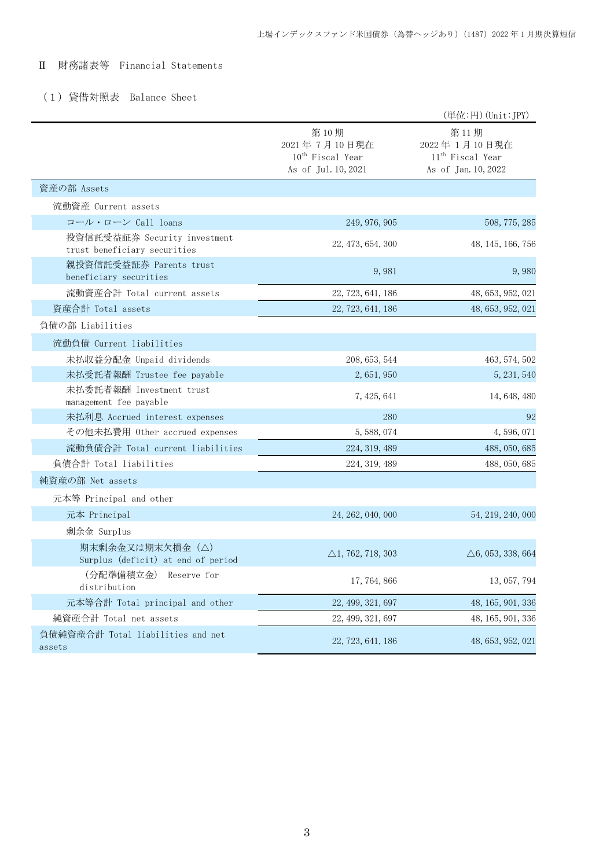# Ⅱ 財務諸表等 Financial Statements

# (1)貸借対照表 Balance Sheet

|                                                              |                                                                      | (単位:円) (Unit:JPY)                                                           |
|--------------------------------------------------------------|----------------------------------------------------------------------|-----------------------------------------------------------------------------|
|                                                              | 第10期<br>2021年7月10日現在<br>$10^{th}$ Fiscal Year<br>As of Jul. 10, 2021 | 第11期<br>2022年1月10日現在<br>11 <sup>th</sup> Fiscal Year<br>As of Jan. 10, 2022 |
| 資産の部 Assets                                                  |                                                                      |                                                                             |
| 流動資産 Current assets                                          |                                                                      |                                                                             |
| コール・ローン Call loans                                           | 249, 976, 905                                                        | 508, 775, 285                                                               |
| 投資信託受益証券 Security investment<br>trust beneficiary securities | 22, 473, 654, 300                                                    | 48, 145, 166, 756                                                           |
| 親投資信託受益証券 Parents trust<br>beneficiary securities            | 9,981                                                                | 9,980                                                                       |
| 流動資産合計 Total current assets                                  | 22, 723, 641, 186                                                    | 48, 653, 952, 021                                                           |
| 資産合計 Total assets                                            | 22, 723, 641, 186                                                    | 48, 653, 952, 021                                                           |
| 負債の部 Liabilities                                             |                                                                      |                                                                             |
| 流動負債 Current liabilities                                     |                                                                      |                                                                             |
| 未払収益分配金 Unpaid dividends                                     | 208, 653, 544                                                        | 463, 574, 502                                                               |
| 未払受託者報酬 Trustee fee payable                                  | 2, 651, 950                                                          | 5, 231, 540                                                                 |
| 未払委託者報酬 Investment trust<br>management fee payable           | 7, 425, 641                                                          | 14, 648, 480                                                                |
| 未払利息 Accrued interest expenses                               | 280                                                                  | 92                                                                          |
| その他未払費用 Other accrued expenses                               | 5, 588, 074                                                          | 4, 596, 071                                                                 |
| 流動負債合計 Total current liabilities                             | 224, 319, 489                                                        | 488, 050, 685                                                               |
| 負債合計 Total liabilities                                       | 224, 319, 489                                                        | 488, 050, 685                                                               |
| 純資産の部 Net assets                                             |                                                                      |                                                                             |
| 元本等 Principal and other                                      |                                                                      |                                                                             |
| 元本 Principal                                                 | 24, 262, 040, 000                                                    | 54, 219, 240, 000                                                           |
| 剰余金 Surplus                                                  |                                                                      |                                                                             |
| 期末剰余金又は期末欠損金(△)<br>Surplus (deficit) at end of period        | $\triangle$ 1, 762, 718, 303                                         | $\triangle 6, 053, 338, 664$                                                |
| (分配準備積立金)<br>Reserve for<br>distribution                     | 17, 764, 866                                                         | 13, 057, 794                                                                |
| 元本等合計 Total principal and other                              | 22, 499, 321, 697                                                    | 48, 165, 901, 336                                                           |
| 純資産合計 Total net assets                                       | 22, 499, 321, 697                                                    | 48, 165, 901, 336                                                           |
| 負債純資産合計 Total liabilities and net<br>assets                  | 22, 723, 641, 186                                                    | 48, 653, 952, 021                                                           |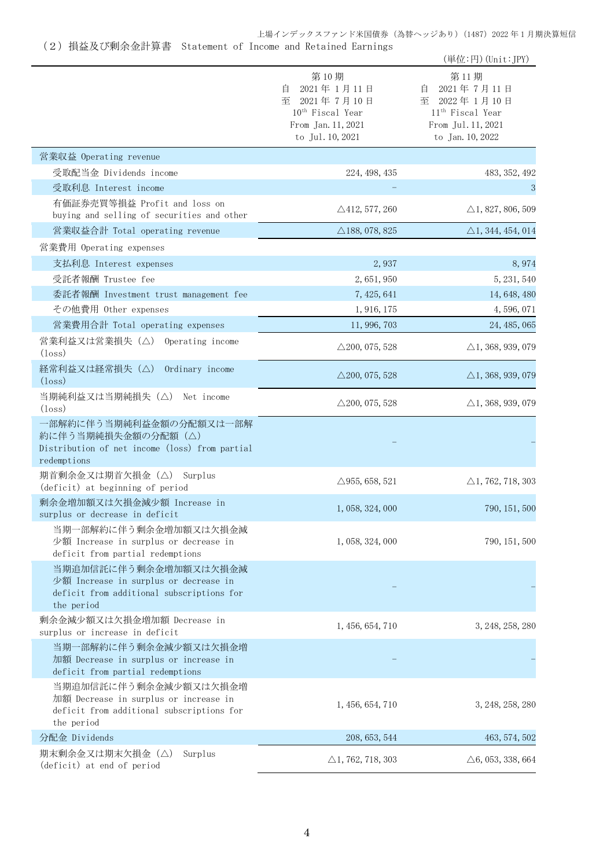上場インデックスファンド米国債券(為替ヘッジあり)(1487)2022 年 1 月期決算短信

(2)損益及び剰余金計算書 Statement of Income and Retained Earnings

|                                                                                                                           |                                                                                                                      | (単位:円) (Unit:JPY)                                                                                                 |
|---------------------------------------------------------------------------------------------------------------------------|----------------------------------------------------------------------------------------------------------------------|-------------------------------------------------------------------------------------------------------------------|
|                                                                                                                           | 第10期<br>2021年1月11日<br>自<br>2021年7月10日<br>至<br>10 <sup>th</sup> Fiscal Year<br>From Jan. 11, 2021<br>to Jul. 10, 2021 | 第11期<br>2021年7月11日<br>目<br>至 2022年1月10日<br>11 <sup>th</sup> Fiscal Year<br>From Jul. 11, 2021<br>to Jan. 10, 2022 |
| 営業収益 Operating revenue                                                                                                    |                                                                                                                      |                                                                                                                   |
| 受取配当金 Dividends income                                                                                                    | 224, 498, 435                                                                                                        | 483, 352, 492                                                                                                     |
| 受取利息 Interest income                                                                                                      |                                                                                                                      | 3                                                                                                                 |
| 有価証券売買等損益 Profit and loss on<br>buying and selling of securities and other                                                | $\triangle$ 412, 577, 260                                                                                            | $\triangle$ 1, 827, 806, 509                                                                                      |
| 営業収益合計 Total operating revenue                                                                                            | $\triangle$ 188, 078, 825                                                                                            | $\triangle$ 1, 344, 454, 014                                                                                      |
| 営業費用 Operating expenses                                                                                                   |                                                                                                                      |                                                                                                                   |
| 支払利息 Interest expenses                                                                                                    | 2,937                                                                                                                | 8,974                                                                                                             |
| 受託者報酬 Trustee fee                                                                                                         | 2,651,950                                                                                                            | 5, 231, 540                                                                                                       |
| 委託者報酬 Investment trust management fee                                                                                     | 7, 425, 641                                                                                                          | 14, 648, 480                                                                                                      |
| その他費用 Other expenses                                                                                                      | 1, 916, 175                                                                                                          | 4,596,071                                                                                                         |
| 営業費用合計 Total operating expenses                                                                                           | 11, 996, 703                                                                                                         | 24, 485, 065                                                                                                      |
| 営業利益又は営業損失 (△) Operating income<br>$(\text{loss})$                                                                        | $\triangle$ 200, 075, 528                                                                                            | $\triangle$ 1, 368, 939, 079                                                                                      |
| 経常利益又は経常損失(△)<br>Ordinary income<br>$(\text{loss})$                                                                       | $\triangle$ 200, 075, 528                                                                                            | $\triangle$ 1, 368, 939, 079                                                                                      |
| 当期純利益又は当期純損失 (△) Net income<br>$(\text{loss})$                                                                            | $\triangle$ 200, 075, 528                                                                                            | $\triangle$ 1, 368, 939, 079                                                                                      |
| 一部解約に伴う当期純利益金額の分配額又は一部解<br>約に伴う当期純損失金額の分配額(△)<br>Distribution of net income (loss) from partial<br>redemptions            |                                                                                                                      |                                                                                                                   |
| 期首剰余金又は期首欠損金 (△) Surplus<br>(deficit) at beginning of period                                                              | $\triangle$ 955, 658, 521                                                                                            | $\triangle$ 1, 762, 718, 303                                                                                      |
| 剰余金増加額又は欠損金減少額 Increase in<br>surplus or decrease in deficit                                                              | 1, 058, 324, 000                                                                                                     | 790, 151, 500                                                                                                     |
| 当期一部解約に伴う剰余金増加額又は欠損金減<br>少額 Increase in surplus or decrease in<br>deficit from partial redemptions                        | 1, 058, 324, 000                                                                                                     | 790, 151, 500                                                                                                     |
| 当期追加信託に伴う剰余金増加額又は欠損金減<br>少額 Increase in surplus or decrease in<br>deficit from additional subscriptions for<br>the period |                                                                                                                      |                                                                                                                   |
| 剰余金減少額又は欠損金増加額 Decrease in<br>surplus or increase in deficit                                                              | 1, 456, 654, 710                                                                                                     | 3, 248, 258, 280                                                                                                  |
| 当期一部解約に伴う剰余金減少額又は欠損金増<br>加額 Decrease in surplus or increase in<br>deficit from partial redemptions                        |                                                                                                                      |                                                                                                                   |
| 当期追加信託に伴う剰余金減少額又は欠損金増<br>加額 Decrease in surplus or increase in<br>deficit from additional subscriptions for<br>the period | 1, 456, 654, 710                                                                                                     | 3, 248, 258, 280                                                                                                  |
| 分配金 Dividends                                                                                                             | 208, 653, 544                                                                                                        | 463, 574, 502                                                                                                     |
| 期末剰余金又は期末欠損金(△)<br>Surplus<br>(deficit) at end of period                                                                  | $\triangle$ 1, 762, 718, 303                                                                                         | $\triangle 6, 053, 338, 664$                                                                                      |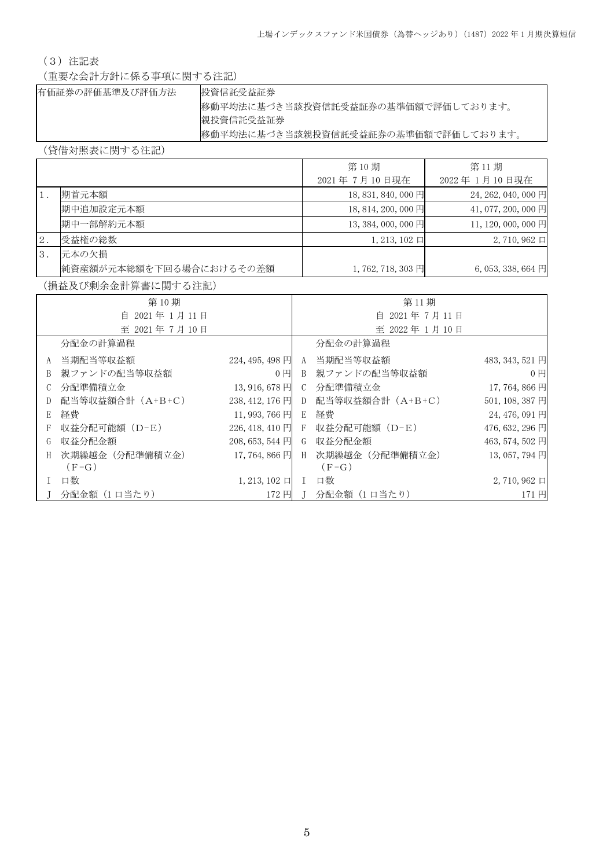# (3)注記表

(重要な会計方針に係る事項に関する注記)

| 有価証券の評価基準及び評価方法 | 投資信託受益証券                            |
|-----------------|-------------------------------------|
|                 | 移動平均法に基づき当該投資信託受益証券の基準価額で評価しております。  |
|                 | 親投資信託受益証券                           |
|                 | 移動平均法に基づき当該親投資信託受益証券の基準価額で評価しております。 |

(貸借対照表に関する注記)

|                  |                         | 第10期                  | 第11期                            |
|------------------|-------------------------|-----------------------|---------------------------------|
|                  |                         | 2021年7月10日現在          | 2022年1月10日現在                    |
| $\overline{1}$ . | 期首元本額                   | 18, 831, 840, 000 円   | 24, 262, 040, 000 円             |
|                  | 期中追加設定元本額               | 18, 814, 200, 000 円   | 41,077,200,000円                 |
|                  | 期中一部解約元本額               | $13,384,000,000$ 円    | 11, 120, 000, 000 円             |
| 2.               | 受益権の総数                  | $1, 213, 102 \square$ | $2,710,962 \square$             |
| <sup>3</sup> .   | 元本の欠損                   |                       |                                 |
|                  | 純資産額が元本総額を下回る場合におけるその差額 | 1,762,718,303円        | $6,053,338,664 \text{ }\square$ |

(損益及び剰余金計算書に関する注記)

|               | 第10期             |                       |               | 第11期                            |                     |
|---------------|------------------|-----------------------|---------------|---------------------------------|---------------------|
|               | 自 2021年1月11日     |                       | 自 2021年7月11日  |                                 |                     |
|               | 至 2021年7月10日     |                       |               | 至 2022年1月10日                    |                     |
|               | 分配金の計算過程         |                       |               | 分配金の計算過程                        |                     |
| A             | 当期配当等収益額         | $224, 495, 498$ 円     | A             | 当期配当等収益額                        | 483, 343, 521 円     |
| B             | 親ファンドの配当等収益額     | $0$ $\Box$            | B             | 親ファンドの配当等収益額                    | $0$ $\Box$          |
| $\mathcal{C}$ | 分配準備積立金          | 13,916,678円           | $\mathcal{C}$ | 分配準備積立金                         | 17,764,866円         |
| D             | 配当等収益額合計 (A+B+C) | $238, 412, 176$ 円     | D             | 配当等収益額合計(A+B+C)                 | 501, 108, 387 円     |
| E             | 経費               | $11,993,766$ 円        | E             | 経費                              | 24, 476, 091 円      |
| F             | 収益分配可能額(D-E)     |                       |               | 226, 418, 410 円 F 収益分配可能額 (D-E) | 476, 632, 296 円     |
| G             | 収益分配金額           | 208, 653, 544 円       | G             | 収益分配金額                          | 463, 574, 502 円     |
| H             | 次期繰越金(分配準備積立金)   | 17,764,866円           | H             | 次期繰越金 (分配準備積立金)                 | 13, 057, 794 円      |
|               | $(F-G)$          |                       |               | $(F-G)$                         |                     |
|               | 口数               | $1, 213, 102 \square$ |               | 口数                              | $2,710,962 \square$ |
|               | 分配金額 (1 口当たり)    | 172 円                 |               | 分配金額 (1 口当たり)                   | 171円                |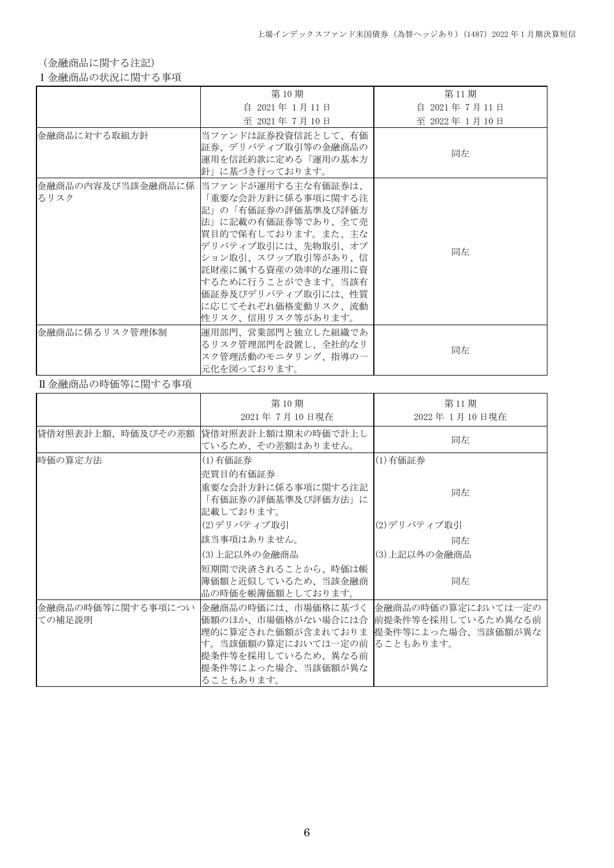(金融商品に関する注記)

### Ⅰ金融商品の状況に関する事項

|                | 第10期                                                                                                                                                                                                                                                                                          | 第11期           |
|----------------|-----------------------------------------------------------------------------------------------------------------------------------------------------------------------------------------------------------------------------------------------------------------------------------------------|----------------|
|                | 自 2021年 1月11日                                                                                                                                                                                                                                                                                 | 自 2021年 7月 11日 |
|                | 至 2021年7月10日                                                                                                                                                                                                                                                                                  | 至 2022年1月10日   |
| 金融商品に対する取組方針   | 当ファンドは証券投資信託として、有価<br>証券、デリバティブ取引等の金融商品の<br>運用を信託約款に定める「運用の基本方」<br>針」に基づき行っております。                                                                                                                                                                                                             | 同左             |
| るリスク           | 金融商品の内容及び当該金融商品に係   当ファンドが運用する主な有価証券は、<br>「重要な会計方針に係る事項に関する注<br>記」の「有価証券の評価基準及び評価方<br>法」に記載の有価証券等であり、全て売<br> 買目的で保有しております。また、主な<br> デリバティブ取引には、先物取引、オプ<br> ション取引、スワップ取引等があり、信 <br>託財産に属する資産の効率的な運用に資<br> するために行うことができます。当該有<br>価証券及びデリバティブ取引には、性質<br>に応じてそれぞれ価格変動リスク、流動<br> 性リスク、信用リスク等があります。 | 同左             |
| 金融商品に係るリスク管理体制 | 運用部門、営業部門と独立した組織であ<br>るリスク管理部門を設置し、全社的なリ<br>スク管理活動のモニタリング、指導の一<br>元化を図っております。                                                                                                                                                                                                                 | 同左             |

### Ⅱ金融商品の時価等に関する事項

|                             | 第10期<br>2021年7月10日現在                                                                                                                                                                                               | 第11期<br>2022年 1月10日現在 |
|-----------------------------|--------------------------------------------------------------------------------------------------------------------------------------------------------------------------------------------------------------------|-----------------------|
| 貸借対照表計上額、時価及びその差額           | 貸借対照表計上額は期末の時価で計上し<br>ているため、その差額はありません。                                                                                                                                                                            | 同左                    |
| 時価の算定方法                     | (1)有価証券<br>売買目的有価証券                                                                                                                                                                                                | (1) 有価証券              |
|                             | 重要な会計方針に係る事項に関する注記<br>「有価証券の評価基準及び評価方法」に<br>記載しております。                                                                                                                                                              | 同左                    |
|                             | (2)デリバティブ取引                                                                                                                                                                                                        | (2)デリバティブ取引           |
|                             | 該当事項はありません。                                                                                                                                                                                                        | 同左                    |
|                             | (3)上記以外の金融商品                                                                                                                                                                                                       | (3)上記以外の金融商品          |
|                             | 短期間で決済されることから、時価は帳<br> 簿価額と近似しているため、当該金融商<br>品の時価を帳簿価額としております。                                                                                                                                                     | 同左                    |
| 金融商品の時価等に関する事項につい<br>ての補足説明 | 金融商品の時価には、市場価格に基づく  金融商品の時価の算定においては一定の<br>価額のほか、市場価格がない場合には合  前提条件等を採用しているため異なる前<br>理的に算定された価額が含まれておりま 提条件等によった場合、当該価額が異な<br>す。当該価額の算定においては一定の前 ることもあります。<br>提条件等を採用しているため、異なる前<br>提条件等によった場合、当該価額が異な<br>ることもあります。 |                       |